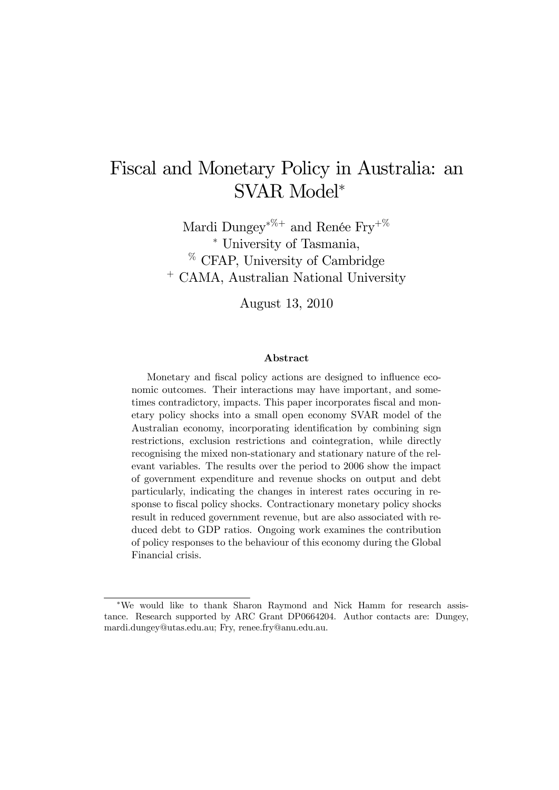# Fiscal and Monetary Policy in Australia: an SVAR Model<sup>∗</sup>

Mardi Dungey∗%+ and Renée Fry+% <sup>∗</sup> University of Tasmania, % CFAP, University of Cambridge <sup>+</sup> CAMA, Australian National University

August 13, 2010

#### Abstract

Monetary and fiscal policy actions are designed to influence economic outcomes. Their interactions may have important, and sometimes contradictory, impacts. This paper incorporates fiscal and monetary policy shocks into a small open economy SVAR model of the Australian economy, incorporating identification by combining sign restrictions, exclusion restrictions and cointegration, while directly recognising the mixed non-stationary and stationary nature of the relevant variables. The results over the period to 2006 show the impact of government expenditure and revenue shocks on output and debt particularly, indicating the changes in interest rates occuring in response to fiscal policy shocks. Contractionary monetary policy shocks result in reduced government revenue, but are also associated with reduced debt to GDP ratios. Ongoing work examines the contribution of policy responses to the behaviour of this economy during the Global Financial crisis.

<sup>∗</sup>We would like to thank Sharon Raymond and Nick Hamm for research assistance. Research supported by ARC Grant DP0664204. Author contacts are: Dungey, mardi.dungey@utas.edu.au; Fry, renee.fry@anu.edu.au.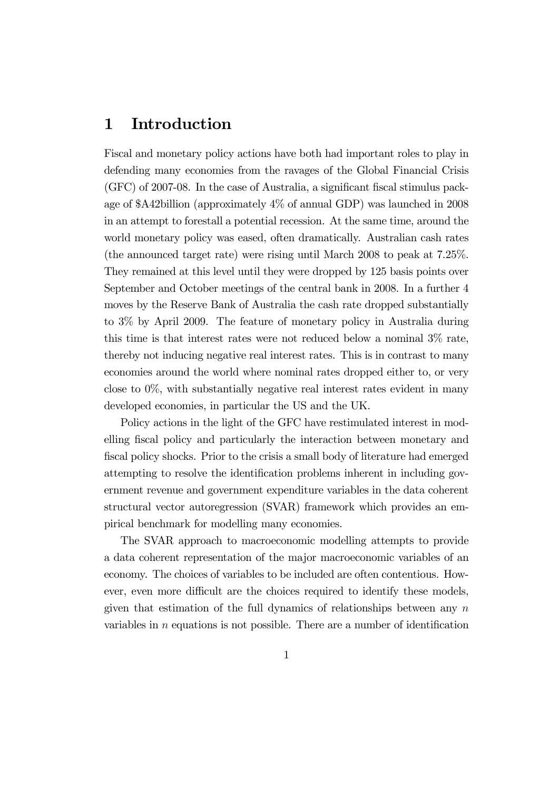### 1 Introduction

Fiscal and monetary policy actions have both had important roles to play in defending many economies from the ravages of the Global Financial Crisis (GFC) of 2007-08. In the case of Australia, a significant fiscal stimulus package of \$A42billion (approximately 4% of annual GDP) was launched in 2008 in an attempt to forestall a potential recession. At the same time, around the world monetary policy was eased, often dramatically. Australian cash rates (the announced target rate) were rising until March 2008 to peak at 7.25%. They remained at this level until they were dropped by 125 basis points over September and October meetings of the central bank in 2008. In a further 4 moves by the Reserve Bank of Australia the cash rate dropped substantially to 3% by April 2009. The feature of monetary policy in Australia during this time is that interest rates were not reduced below a nominal 3% rate, thereby not inducing negative real interest rates. This is in contrast to many economies around the world where nominal rates dropped either to, or very close to 0%, with substantially negative real interest rates evident in many developed economies, in particular the US and the UK.

Policy actions in the light of the GFC have restimulated interest in modelling fiscal policy and particularly the interaction between monetary and fiscal policy shocks. Prior to the crisis a small body of literature had emerged attempting to resolve the identification problems inherent in including government revenue and government expenditure variables in the data coherent structural vector autoregression (SVAR) framework which provides an empirical benchmark for modelling many economies.

The SVAR approach to macroeconomic modelling attempts to provide a data coherent representation of the major macroeconomic variables of an economy. The choices of variables to be included are often contentious. However, even more difficult are the choices required to identify these models, given that estimation of the full dynamics of relationships between any  $n$ variables in  $n$  equations is not possible. There are a number of identification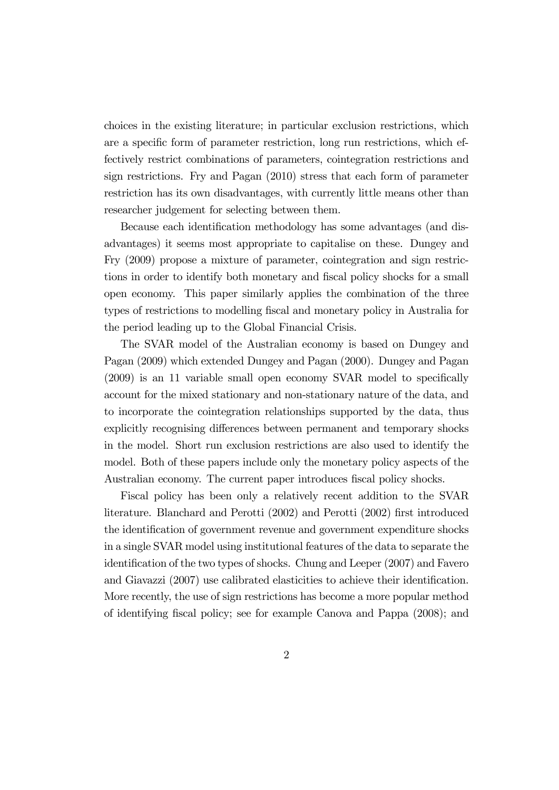choices in the existing literature; in particular exclusion restrictions, which are a specific form of parameter restriction, long run restrictions, which effectively restrict combinations of parameters, cointegration restrictions and sign restrictions. Fry and Pagan (2010) stress that each form of parameter restriction has its own disadvantages, with currently little means other than researcher judgement for selecting between them.

Because each identification methodology has some advantages (and disadvantages) it seems most appropriate to capitalise on these. Dungey and Fry (2009) propose a mixture of parameter, cointegration and sign restrictions in order to identify both monetary and fiscal policy shocks for a small open economy. This paper similarly applies the combination of the three types of restrictions to modelling fiscal and monetary policy in Australia for the period leading up to the Global Financial Crisis.

The SVAR model of the Australian economy is based on Dungey and Pagan (2009) which extended Dungey and Pagan (2000). Dungey and Pagan (2009) is an 11 variable small open economy SVAR model to specifically account for the mixed stationary and non-stationary nature of the data, and to incorporate the cointegration relationships supported by the data, thus explicitly recognising differences between permanent and temporary shocks in the model. Short run exclusion restrictions are also used to identify the model. Both of these papers include only the monetary policy aspects of the Australian economy. The current paper introduces fiscal policy shocks.

Fiscal policy has been only a relatively recent addition to the SVAR literature. Blanchard and Perotti (2002) and Perotti (2002) first introduced the identification of government revenue and government expenditure shocks in a single SVAR model using institutional features of the data to separate the identification of the two types of shocks. Chung and Leeper (2007) and Favero and Giavazzi (2007) use calibrated elasticities to achieve their identification. More recently, the use of sign restrictions has become a more popular method of identifying fiscal policy; see for example Canova and Pappa (2008); and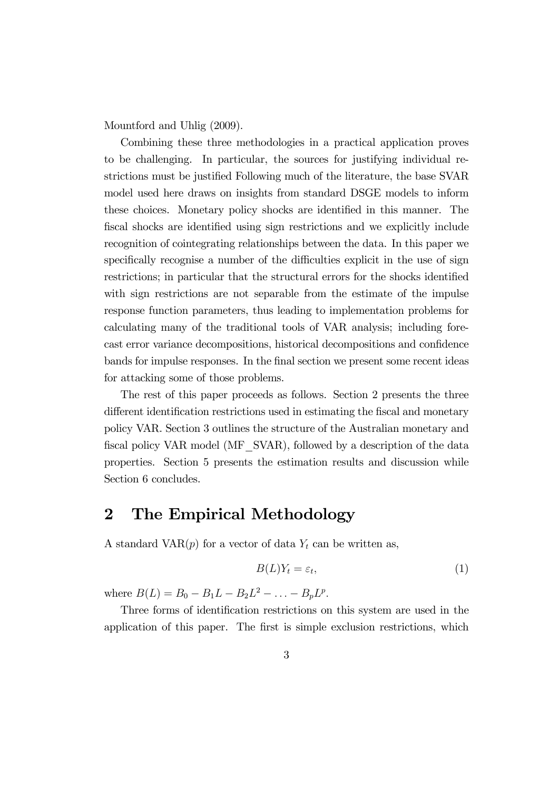Mountford and Uhlig (2009).

Combining these three methodologies in a practical application proves to be challenging. In particular, the sources for justifying individual restrictions must be justified Following much of the literature, the base SVAR model used here draws on insights from standard DSGE models to inform these choices. Monetary policy shocks are identified in this manner. The fiscal shocks are identified using sign restrictions and we explicitly include recognition of cointegrating relationships between the data. In this paper we specifically recognise a number of the difficulties explicit in the use of sign restrictions; in particular that the structural errors for the shocks identified with sign restrictions are not separable from the estimate of the impulse response function parameters, thus leading to implementation problems for calculating many of the traditional tools of VAR analysis; including forecast error variance decompositions, historical decompositions and confidence bands for impulse responses. In the final section we present some recent ideas for attacking some of those problems.

The rest of this paper proceeds as follows. Section 2 presents the three different identification restrictions used in estimating the fiscal and monetary policy VAR. Section 3 outlines the structure of the Australian monetary and fiscal policy VAR model (MF\_SVAR), followed by a description of the data properties. Section 5 presents the estimation results and discussion while Section 6 concludes.

## 2 The Empirical Methodology

A standard VAR $(p)$  for a vector of data  $Y_t$  can be written as,

$$
B(L)Y_t = \varepsilon_t,\tag{1}
$$

where  $B(L) = B_0 - B_1 L - B_2 L^2 - \ldots - B_p L^p$ .

Three forms of identification restrictions on this system are used in the application of this paper. The first is simple exclusion restrictions, which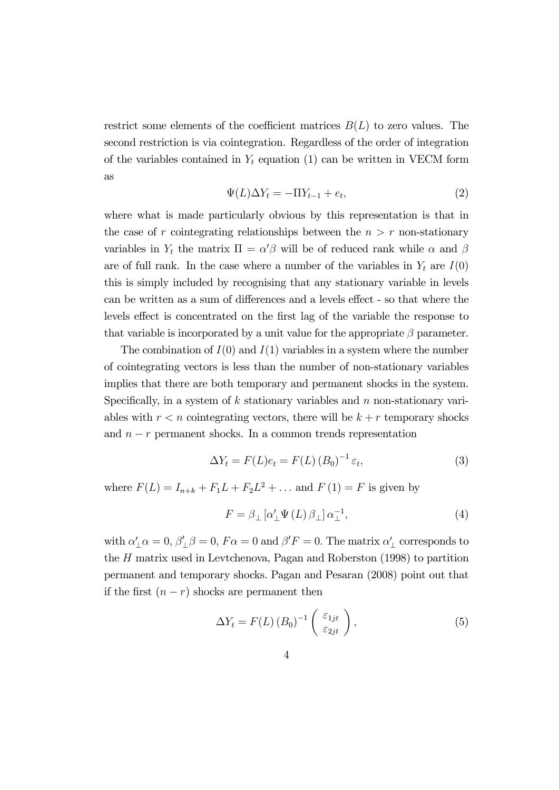restrict some elements of the coefficient matrices  $B(L)$  to zero values. The second restriction is via cointegration. Regardless of the order of integration of the variables contained in  $Y_t$  equation (1) can be written in VECM form as

$$
\Psi(L)\Delta Y_t = -\Pi Y_{t-1} + e_t,\tag{2}
$$

where what is made particularly obvious by this representation is that in the case of r cointegrating relationships between the  $n > r$  non-stationary variables in  $Y_t$  the matrix  $\Pi = \alpha' \beta$  will be of reduced rank while  $\alpha$  and  $\beta$ are of full rank. In the case where a number of the variables in  $Y_t$  are  $I(0)$ this is simply included by recognising that any stationary variable in levels can be written as a sum of differences and a levels effect - so that where the levels effect is concentrated on the first lag of the variable the response to that variable is incorporated by a unit value for the appropriate  $\beta$  parameter.

The combination of  $I(0)$  and  $I(1)$  variables in a system where the number of cointegrating vectors is less than the number of non-stationary variables implies that there are both temporary and permanent shocks in the system. Specifically, in a system of  $k$  stationary variables and  $n$  non-stationary variables with  $r < n$  cointegrating vectors, there will be  $k + r$  temporary shocks and  $n - r$  permanent shocks. In a common trends representation

$$
\Delta Y_t = F(L)e_t = F(L) (B_0)^{-1} \varepsilon_t, \tag{3}
$$

where  $F(L) = I_{n+k} + F_1 L + F_2 L^2 + \dots$  and  $F(1) = F$  is given by

$$
F = \beta_{\perp} \left[ \alpha'_{\perp} \Psi \left( L \right) \beta_{\perp} \right] \alpha_{\perp}^{-1}, \tag{4}
$$

with  $\alpha'_{\perp}\alpha = 0$ ,  $\beta'_{\perp}\beta = 0$ ,  $F\alpha = 0$  and  $\beta'F = 0$ . The matrix  $\alpha'_{\perp}$  corresponds to the  $H$  matrix used in Levtchenova, Pagan and Roberston  $(1998)$  to partition permanent and temporary shocks. Pagan and Pesaran (2008) point out that if the first  $(n - r)$  shocks are permanent then

$$
\Delta Y_t = F(L) (B_0)^{-1} \begin{pmatrix} \varepsilon_{1jt} \\ \varepsilon_{2jt} \end{pmatrix}, \tag{5}
$$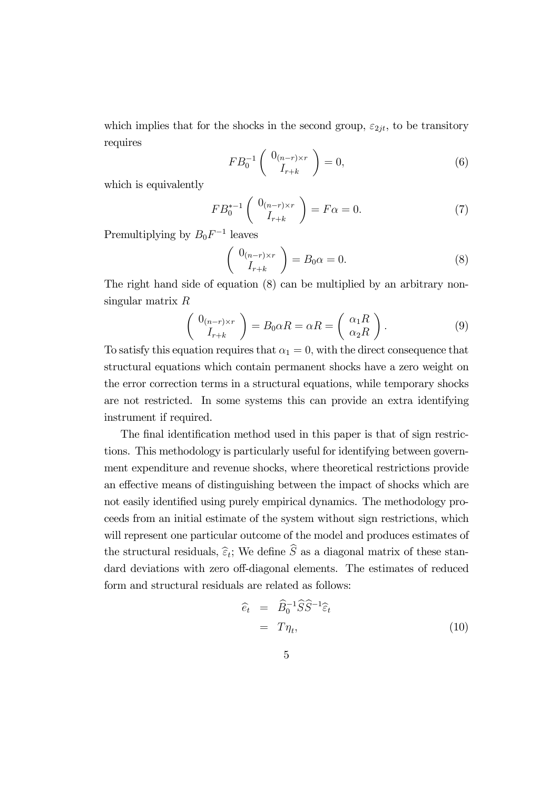which implies that for the shocks in the second group,  $\varepsilon_{2jt}$ , to be transitory requires

$$
FB_0^{-1} \left( \begin{array}{c} 0_{(n-r)\times r} \\ I_{r+k} \end{array} \right) = 0, \tag{6}
$$

which is equivalently

$$
FB_0^{*-1} \left( \begin{array}{c} 0_{(n-r)\times r} \\ I_{r+k} \end{array} \right) = F\alpha = 0. \tag{7}
$$

Premultiplying by  $B_0 F^{-1}$  leaves

$$
\begin{pmatrix}\n0_{(n-r)\times r} \\
I_{r+k}\n\end{pmatrix} = B_0 \alpha = 0.
$$
\n(8)

The right hand side of equation (8) can be multiplied by an arbitrary nonsingular matrix  $R$ 

$$
\begin{pmatrix}\n0_{(n-r)\times r} \\
I_{r+k}\n\end{pmatrix} = B_0 \alpha R = \alpha R = \begin{pmatrix}\n\alpha_1 R \\
\alpha_2 R\n\end{pmatrix}.
$$
\n(9)

To satisfy this equation requires that  $\alpha_1 = 0$ , with the direct consequence that structural equations which contain permanent shocks have a zero weight on the error correction terms in a structural equations, while temporary shocks are not restricted. In some systems this can provide an extra identifying instrument if required.

The final identification method used in this paper is that of sign restrictions. This methodology is particularly useful for identifying between government expenditure and revenue shocks, where theoretical restrictions provide an effective means of distinguishing between the impact of shocks which are not easily identified using purely empirical dynamics. The methodology proceeds from an initial estimate of the system without sign restrictions, which will represent one particular outcome of the model and produces estimates of the structural residuals,  $\widehat{\varepsilon}_t$ ; We define  $\widehat{S}$  as a diagonal matrix of these standard deviations with zero off-diagonal elements. The estimates of reduced form and structural residuals are related as follows:

$$
\begin{aligned}\n\widehat{e}_t &= \widehat{B}_0^{-1} \widehat{S} \widehat{S}^{-1} \widehat{\varepsilon}_t \\
&= T \eta_t,\n\end{aligned} \n\tag{10}
$$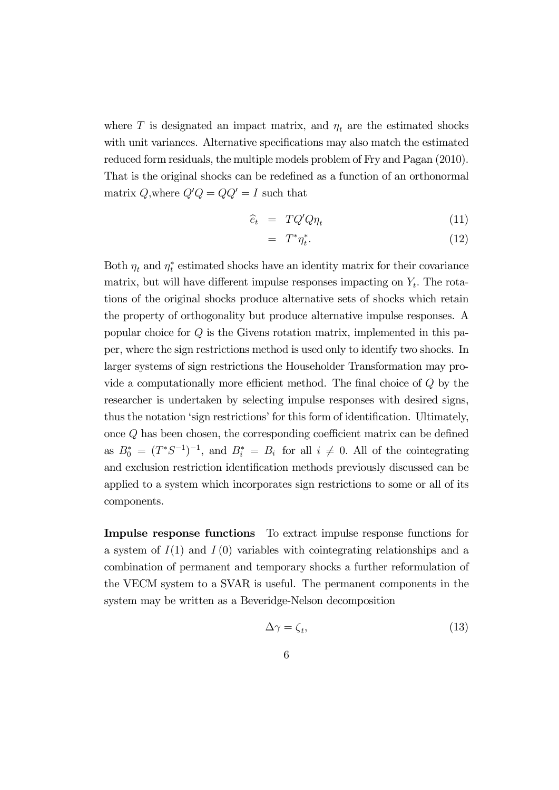where T is designated an impact matrix, and  $\eta_t$  are the estimated shocks with unit variances. Alternative specifications may also match the estimated reduced form residuals, the multiple models problem of Fry and Pagan (2010). That is the original shocks can be redefined as a function of an orthonormal matrix Q, where  $Q'Q = QQ' = I$  such that

$$
\widehat{e}_t = TQ'Q\eta_t \tag{11}
$$

$$
= T^*\eta_t^*.
$$
 (12)

Both  $\eta_t$  and  $\eta_t^*$  estimated shocks have an identity matrix for their covariance matrix, but will have different impulse responses impacting on  $Y_t$ . The rotations of the original shocks produce alternative sets of shocks which retain the property of orthogonality but produce alternative impulse responses. A popular choice for  $Q$  is the Givens rotation matrix, implemented in this paper, where the sign restrictions method is used only to identify two shocks. In larger systems of sign restrictions the Householder Transformation may provide a computationally more efficient method. The final choice of  $Q$  by the researcher is undertaken by selecting impulse responses with desired signs, thus the notation 'sign restrictions' for this form of identification. Ultimately, once  $Q$  has been chosen, the corresponding coefficient matrix can be defined as  $B_0^* = (T^*S^{-1})^{-1}$ , and  $B_i^* = B_i$  for all  $i \neq 0$ . All of the cointegrating and exclusion restriction identification methods previously discussed can be applied to a system which incorporates sign restrictions to some or all of its components.

Impulse response functions To extract impulse response functions for a system of  $I(1)$  and  $I(0)$  variables with cointegrating relationships and a combination of permanent and temporary shocks a further reformulation of the VECM system to a SVAR is useful. The permanent components in the system may be written as a Beveridge-Nelson decomposition

$$
\Delta \gamma = \zeta_t,\tag{13}
$$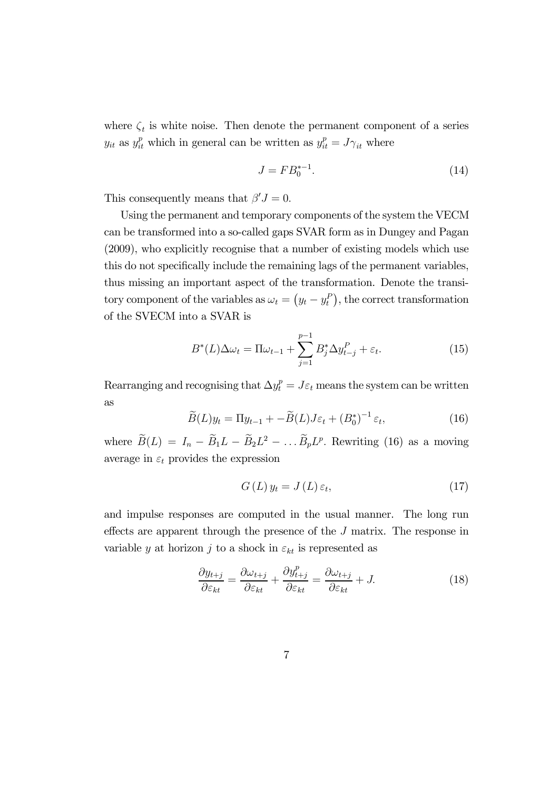where  $\zeta_t$  is white noise. Then denote the permanent component of a series  $y_{it}$  as  $y_{it}^p$  which in general can be written as  $y_{it}^p = J\gamma_{it}$  where

$$
J = FB_0^{*-1}.
$$
 (14)

This consequently means that  $\beta' J = 0$ .

Using the permanent and temporary components of the system the VECM can be transformed into a so-called gaps SVAR form as in Dungey and Pagan (2009), who explicitly recognise that a number of existing models which use this do not specifically include the remaining lags of the permanent variables, thus missing an important aspect of the transformation. Denote the transitory component of the variables as  $\omega_t = (y_t - y_t^P)$ , the correct transformation of the SVECM into a SVAR is

$$
B^*(L)\Delta\omega_t = \Pi\omega_{t-1} + \sum_{j=1}^{p-1} B_j^*\Delta y_{t-j}^P + \varepsilon_t.
$$
 (15)

Rearranging and recognising that  $\Delta y_t^p = J\varepsilon_t$  means the system can be written as

$$
\widetilde{B}(L)y_t = \Pi y_{t-1} + -\widetilde{B}(L)J\varepsilon_t + (B_0^*)^{-1}\varepsilon_t, \qquad (16)
$$

where  $\widetilde{B}(L) = I_n - \widetilde{B}_1 L - \widetilde{B}_2 L^2 - \dots \widetilde{B}_p L^p$ . Rewriting (16) as a moving average in  $\varepsilon_t$  provides the expression

$$
G\left(L\right)y_t = J\left(L\right)\varepsilon_t,\tag{17}
$$

and impulse responses are computed in the usual manner. The long run effects are apparent through the presence of the  $J$  matrix. The response in variable y at horizon j to a shock in  $\varepsilon_{kt}$  is represented as

$$
\frac{\partial y_{t+j}}{\partial \varepsilon_{kt}} = \frac{\partial \omega_{t+j}}{\partial \varepsilon_{kt}} + \frac{\partial y_{t+j}^p}{\partial \varepsilon_{kt}} = \frac{\partial \omega_{t+j}}{\partial \varepsilon_{kt}} + J.
$$
(18)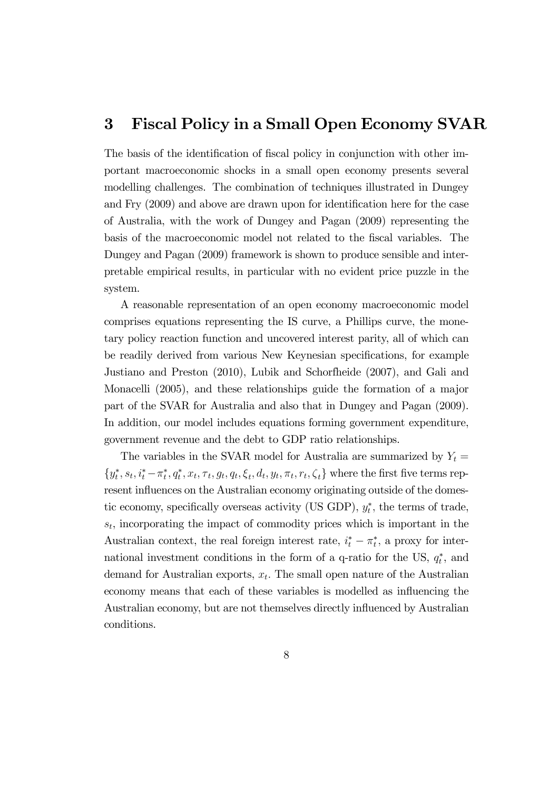### 3 Fiscal Policy in a Small Open Economy SVAR

The basis of the identification of fiscal policy in conjunction with other important macroeconomic shocks in a small open economy presents several modelling challenges. The combination of techniques illustrated in Dungey and Fry (2009) and above are drawn upon for identification here for the case of Australia, with the work of Dungey and Pagan (2009) representing the basis of the macroeconomic model not related to the fiscal variables. The Dungey and Pagan (2009) framework is shown to produce sensible and interpretable empirical results, in particular with no evident price puzzle in the system.

A reasonable representation of an open economy macroeconomic model comprises equations representing the IS curve, a Phillips curve, the monetary policy reaction function and uncovered interest parity, all of which can be readily derived from various New Keynesian specifications, for example Justiano and Preston (2010), Lubik and Schorfheide (2007), and Gali and Monacelli (2005), and these relationships guide the formation of a major part of the SVAR for Australia and also that in Dungey and Pagan (2009). In addition, our model includes equations forming government expenditure, government revenue and the debt to GDP ratio relationships.

The variables in the SVAR model for Australia are summarized by  $Y_t =$  $\{y_t^*, s_t, i_t^* - \pi_t^*, q_t^*, x_t, \tau_t, g_t, q_t, \xi_t, d_t, y_t, \pi_t, r_t, \zeta_t\}$  where the first five terms represent influences on the Australian economy originating outside of the domestic economy, specifically overseas activity (US GDP),  $y_t^*$ , the terms of trade,  $s_t$ , incorporating the impact of commodity prices which is important in the Australian context, the real foreign interest rate,  $i_t^* - \pi_t^*$ , a proxy for international investment conditions in the form of a q-ratio for the US,  $q_t^*$ , and demand for Australian exports,  $x_t$ . The small open nature of the Australian economy means that each of these variables is modelled as influencing the Australian economy, but are not themselves directly influenced by Australian conditions.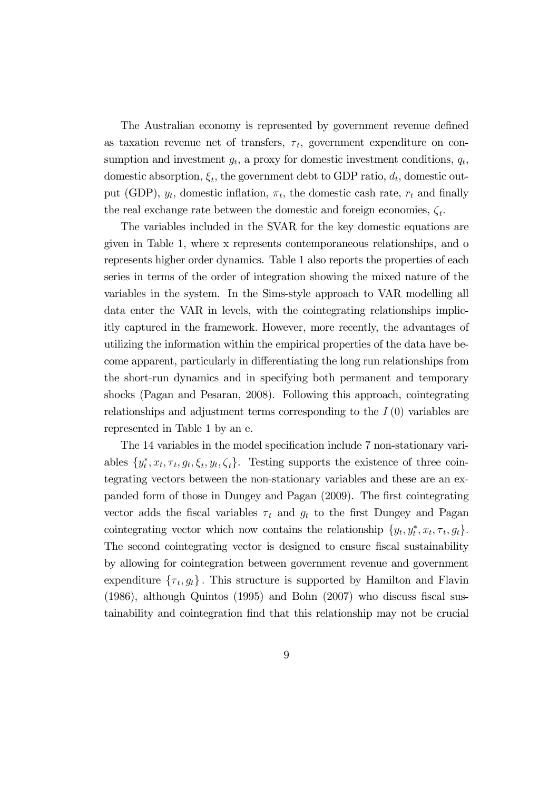The Australian economy is represented by government revenue defined as taxation revenue net of transfers,  $\tau_t$ , government expenditure on consumption and investment  $g_t$ , a proxy for domestic investment conditions,  $q_t$ , domestic absorption,  $\xi_t$ , the government debt to GDP ratio,  $d_t$ , domestic output (GDP),  $y_t$ , domestic inflation,  $\pi_t$ , the domestic cash rate,  $r_t$  and finally the real exchange rate between the domestic and foreign economies,  $\zeta_t$ .

The variables included in the SVAR for the key domestic equations are given in Table 1, where x represents contemporaneous relationships, and o represents higher order dynamics. Table 1 also reports the properties of each series in terms of the order of integration showing the mixed nature of the variables in the system. In the Sims-style approach to VAR modelling all data enter the VAR in levels, with the cointegrating relationships implicitly captured in the framework. However, more recently, the advantages of utilizing the information within the empirical properties of the data have become apparent, particularly in differentiating the long run relationships from the short-run dynamics and in specifying both permanent and temporary shocks (Pagan and Pesaran, 2008). Following this approach, cointegrating relationships and adjustment terms corresponding to the  $I(0)$  variables are represented in Table 1 by an e.

The 14 variables in the model specification include 7 non-stationary variables  $\{y_t^*, x_t, \tau_t, g_t, \xi_t, y_t, \zeta_t\}$ . Testing supports the existence of three cointegrating vectors between the non-stationary variables and these are an expanded form of those in Dungey and Pagan (2009). The first cointegrating vector adds the fiscal variables  $\tau_t$  and  $g_t$  to the first Dungey and Pagan cointegrating vector which now contains the relationship  $\{y_t, y_t^*, x_t, \tau_t, g_t\}.$ The second cointegrating vector is designed to ensure fiscal sustainability by allowing for cointegration between government revenue and government expenditure  $\{\tau_t, g_t\}$ . This structure is supported by Hamilton and Flavin (1986), although Quintos (1995) and Bohn (2007) who discuss fiscal sustainability and cointegration find that this relationship may not be crucial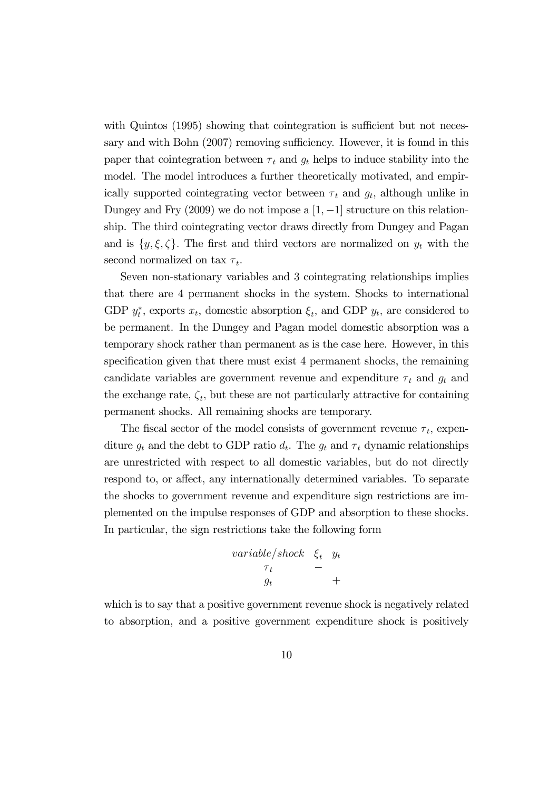with Quintos (1995) showing that cointegration is sufficient but not necessary and with Bohn (2007) removing sufficiency. However, it is found in this paper that cointegration between  $\tau_t$  and  $g_t$  helps to induce stability into the model. The model introduces a further theoretically motivated, and empirically supported cointegrating vector between  $\tau_t$  and  $g_t$ , although unlike in Dungey and Fry  $(2009)$  we do not impose a  $[1, -1]$  structure on this relationship. The third cointegrating vector draws directly from Dungey and Pagan and is  $\{y, \xi, \zeta\}$ . The first and third vectors are normalized on  $y_t$  with the second normalized on tax  $\tau_t$ .

Seven non-stationary variables and 3 cointegrating relationships implies that there are 4 permanent shocks in the system. Shocks to international GDP  $y_t^*$ , exports  $x_t$ , domestic absorption  $\xi_t$ , and GDP  $y_t$ , are considered to be permanent. In the Dungey and Pagan model domestic absorption was a temporary shock rather than permanent as is the case here. However, in this specification given that there must exist 4 permanent shocks, the remaining candidate variables are government revenue and expenditure  $\tau_t$  and  $g_t$  and the exchange rate,  $\zeta_t$ , but these are not particularly attractive for containing permanent shocks. All remaining shocks are temporary.

The fiscal sector of the model consists of government revenue  $\tau_t$ , expenditure  $g_t$  and the debt to GDP ratio  $d_t$ . The  $g_t$  and  $\tau_t$  dynamic relationships are unrestricted with respect to all domestic variables, but do not directly respond to, or affect, any internationally determined variables. To separate the shocks to government revenue and expenditure sign restrictions are implemented on the impulse responses of GDP and absorption to these shocks. In particular, the sign restrictions take the following form

$$
\begin{array}{ccc}\n\text{variable/shock} & \xi_t & y_t \\
\tau_t & - \\
g_t & & + \n\end{array}
$$

which is to say that a positive government revenue shock is negatively related to absorption, and a positive government expenditure shock is positively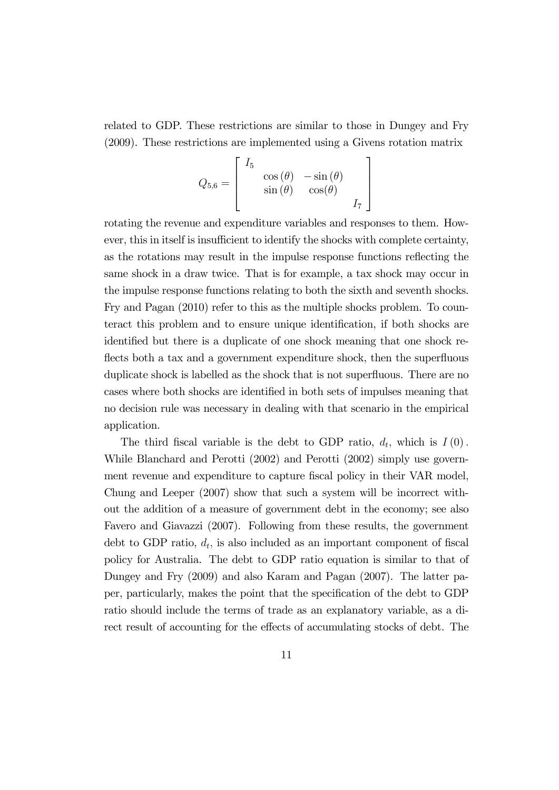related to GDP. These restrictions are similar to those in Dungey and Fry (2009). These restrictions are implemented using a Givens rotation matrix

$$
Q_{5,6} = \begin{bmatrix} I_5 & & \\ & \cos(\theta) & -\sin(\theta) & \\ & \sin(\theta) & \cos(\theta) & \\ & & I_7 \end{bmatrix}
$$

rotating the revenue and expenditure variables and responses to them. However, this in itself is insufficient to identify the shocks with complete certainty, as the rotations may result in the impulse response functions reflecting the same shock in a draw twice. That is for example, a tax shock may occur in the impulse response functions relating to both the sixth and seventh shocks. Fry and Pagan (2010) refer to this as the multiple shocks problem. To counteract this problem and to ensure unique identification, if both shocks are identified but there is a duplicate of one shock meaning that one shock reflects both a tax and a government expenditure shock, then the superfluous duplicate shock is labelled as the shock that is not superfluous. There are no cases where both shocks are identified in both sets of impulses meaning that no decision rule was necessary in dealing with that scenario in the empirical application.

The third fiscal variable is the debt to GDP ratio,  $d_t$ , which is  $I(0)$ . While Blanchard and Perotti (2002) and Perotti (2002) simply use government revenue and expenditure to capture fiscal policy in their VAR model, Chung and Leeper (2007) show that such a system will be incorrect without the addition of a measure of government debt in the economy; see also Favero and Giavazzi (2007). Following from these results, the government debt to GDP ratio,  $d_t$ , is also included as an important component of fiscal policy for Australia. The debt to GDP ratio equation is similar to that of Dungey and Fry (2009) and also Karam and Pagan (2007). The latter paper, particularly, makes the point that the specification of the debt to GDP ratio should include the terms of trade as an explanatory variable, as a direct result of accounting for the effects of accumulating stocks of debt. The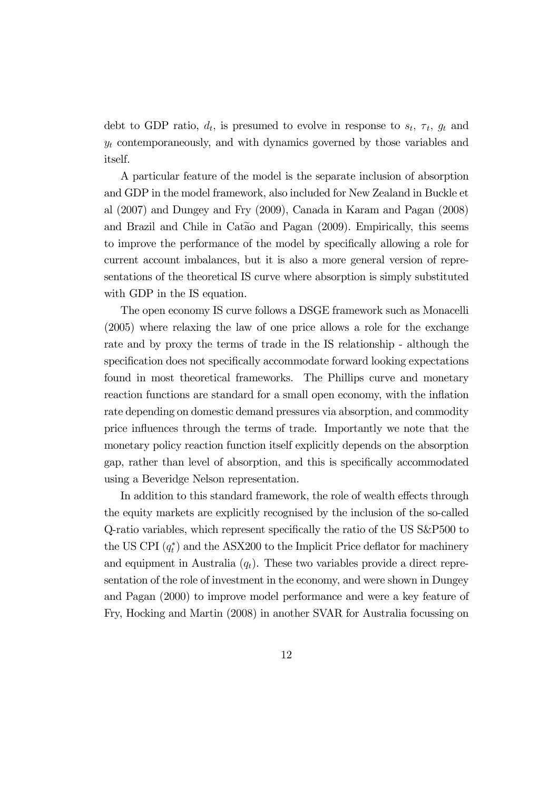debt to GDP ratio,  $d_t$ , is presumed to evolve in response to  $s_t$ ,  $\tau_t$ ,  $g_t$  and  $y_t$  contemporaneously, and with dynamics governed by those variables and itself.

A particular feature of the model is the separate inclusion of absorption and GDP in the model framework, also included for New Zealand in Buckle et al (2007) and Dungey and Fry (2009), Canada in Karam and Pagan (2008) and Brazil and Chile in Catao and Pagan  $(2009)$ . Empirically, this seems to improve the performance of the model by specifically allowing a role for current account imbalances, but it is also a more general version of representations of the theoretical IS curve where absorption is simply substituted with GDP in the IS equation.

The open economy IS curve follows a DSGE framework such as Monacelli (2005) where relaxing the law of one price allows a role for the exchange rate and by proxy the terms of trade in the IS relationship - although the specification does not specifically accommodate forward looking expectations found in most theoretical frameworks. The Phillips curve and monetary reaction functions are standard for a small open economy, with the inflation rate depending on domestic demand pressures via absorption, and commodity price influences through the terms of trade. Importantly we note that the monetary policy reaction function itself explicitly depends on the absorption gap, rather than level of absorption, and this is specifically accommodated using a Beveridge Nelson representation.

In addition to this standard framework, the role of wealth effects through the equity markets are explicitly recognised by the inclusion of the so-called Q-ratio variables, which represent specifically the ratio of the US S&P500 to the US CPI  $(q_t^*)$  and the ASX200 to the Implicit Price deflator for machinery and equipment in Australia  $(q_t)$ . These two variables provide a direct representation of the role of investment in the economy, and were shown in Dungey and Pagan (2000) to improve model performance and were a key feature of Fry, Hocking and Martin (2008) in another SVAR for Australia focussing on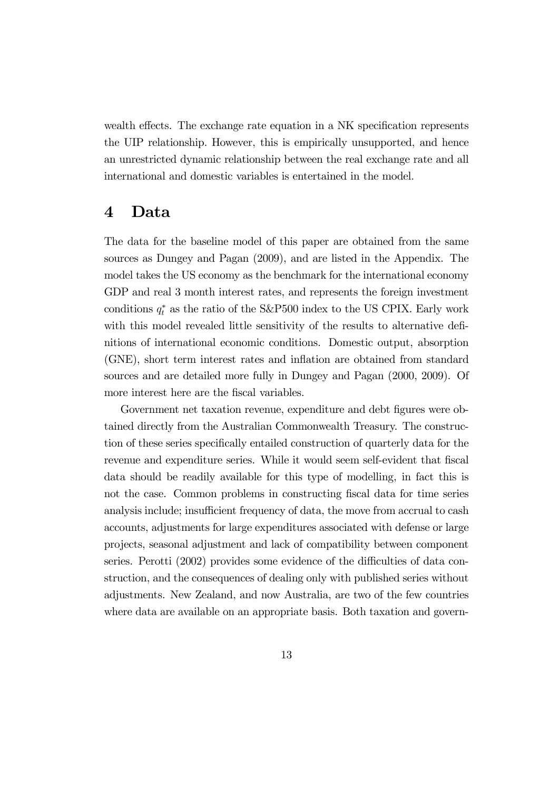wealth effects. The exchange rate equation in a NK specification represents the UIP relationship. However, this is empirically unsupported, and hence an unrestricted dynamic relationship between the real exchange rate and all international and domestic variables is entertained in the model.

### 4 Data

The data for the baseline model of this paper are obtained from the same sources as Dungey and Pagan (2009), and are listed in the Appendix. The model takes the US economy as the benchmark for the international economy GDP and real 3 month interest rates, and represents the foreign investment conditions  $q_t^*$  as the ratio of the S&P500 index to the US CPIX. Early work with this model revealed little sensitivity of the results to alternative definitions of international economic conditions. Domestic output, absorption (GNE), short term interest rates and inflation are obtained from standard sources and are detailed more fully in Dungey and Pagan (2000, 2009). Of more interest here are the fiscal variables.

Government net taxation revenue, expenditure and debt figures were obtained directly from the Australian Commonwealth Treasury. The construction of these series specifically entailed construction of quarterly data for the revenue and expenditure series. While it would seem self-evident that fiscal data should be readily available for this type of modelling, in fact this is not the case. Common problems in constructing fiscal data for time series analysis include; insufficient frequency of data, the move from accrual to cash accounts, adjustments for large expenditures associated with defense or large projects, seasonal adjustment and lack of compatibility between component series. Perotti (2002) provides some evidence of the difficulties of data construction, and the consequences of dealing only with published series without adjustments. New Zealand, and now Australia, are two of the few countries where data are available on an appropriate basis. Both taxation and govern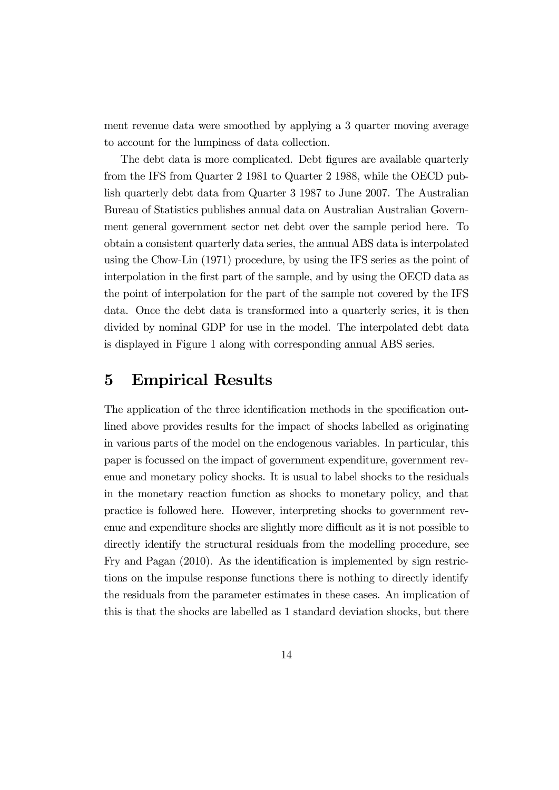ment revenue data were smoothed by applying a 3 quarter moving average to account for the lumpiness of data collection.

The debt data is more complicated. Debt figures are available quarterly from the IFS from Quarter 2 1981 to Quarter 2 1988, while the OECD publish quarterly debt data from Quarter 3 1987 to June 2007. The Australian Bureau of Statistics publishes annual data on Australian Australian Government general government sector net debt over the sample period here. To obtain a consistent quarterly data series, the annual ABS data is interpolated using the Chow-Lin (1971) procedure, by using the IFS series as the point of interpolation in the first part of the sample, and by using the OECD data as the point of interpolation for the part of the sample not covered by the IFS data. Once the debt data is transformed into a quarterly series, it is then divided by nominal GDP for use in the model. The interpolated debt data is displayed in Figure 1 along with corresponding annual ABS series.

### 5 Empirical Results

The application of the three identification methods in the specification outlined above provides results for the impact of shocks labelled as originating in various parts of the model on the endogenous variables. In particular, this paper is focussed on the impact of government expenditure, government revenue and monetary policy shocks. It is usual to label shocks to the residuals in the monetary reaction function as shocks to monetary policy, and that practice is followed here. However, interpreting shocks to government revenue and expenditure shocks are slightly more difficult as it is not possible to directly identify the structural residuals from the modelling procedure, see Fry and Pagan (2010). As the identification is implemented by sign restrictions on the impulse response functions there is nothing to directly identify the residuals from the parameter estimates in these cases. An implication of this is that the shocks are labelled as 1 standard deviation shocks, but there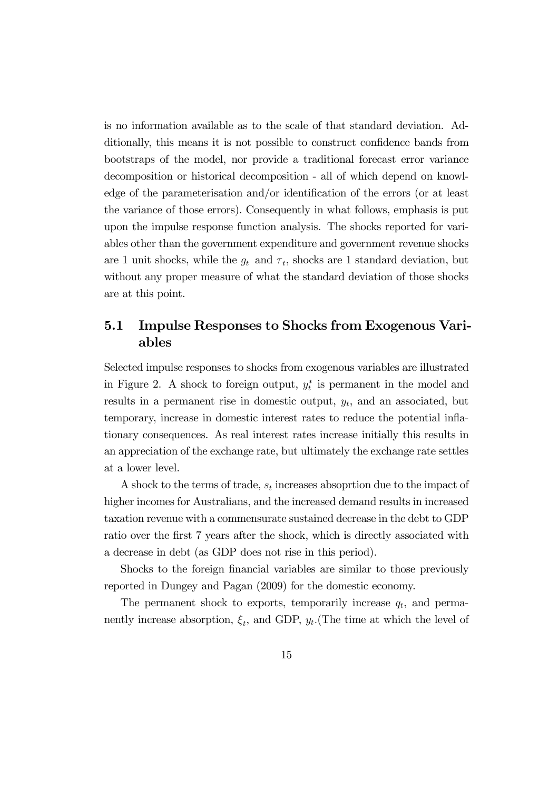is no information available as to the scale of that standard deviation. Additionally, this means it is not possible to construct confidence bands from bootstraps of the model, nor provide a traditional forecast error variance decomposition or historical decomposition - all of which depend on knowledge of the parameterisation and/or identification of the errors (or at least the variance of those errors). Consequently in what follows, emphasis is put upon the impulse response function analysis. The shocks reported for variables other than the government expenditure and government revenue shocks are 1 unit shocks, while the  $g_t$  and  $\tau_t$ , shocks are 1 standard deviation, but without any proper measure of what the standard deviation of those shocks are at this point.

### 5.1 Impulse Responses to Shocks from Exogenous Variables

Selected impulse responses to shocks from exogenous variables are illustrated in Figure 2. A shock to foreign output,  $y_t^*$  is permanent in the model and results in a permanent rise in domestic output,  $y_t$ , and an associated, but temporary, increase in domestic interest rates to reduce the potential inflationary consequences. As real interest rates increase initially this results in an appreciation of the exchange rate, but ultimately the exchange rate settles at a lower level.

A shock to the terms of trade,  $s_t$  increases absoprtion due to the impact of higher incomes for Australians, and the increased demand results in increased taxation revenue with a commensurate sustained decrease in the debt to GDP ratio over the first 7 years after the shock, which is directly associated with a decrease in debt (as GDP does not rise in this period).

Shocks to the foreign financial variables are similar to those previously reported in Dungey and Pagan (2009) for the domestic economy.

The permanent shock to exports, temporarily increase  $q_t$ , and permanently increase absorption,  $\xi_t$ , and GDP,  $y_t$ . (The time at which the level of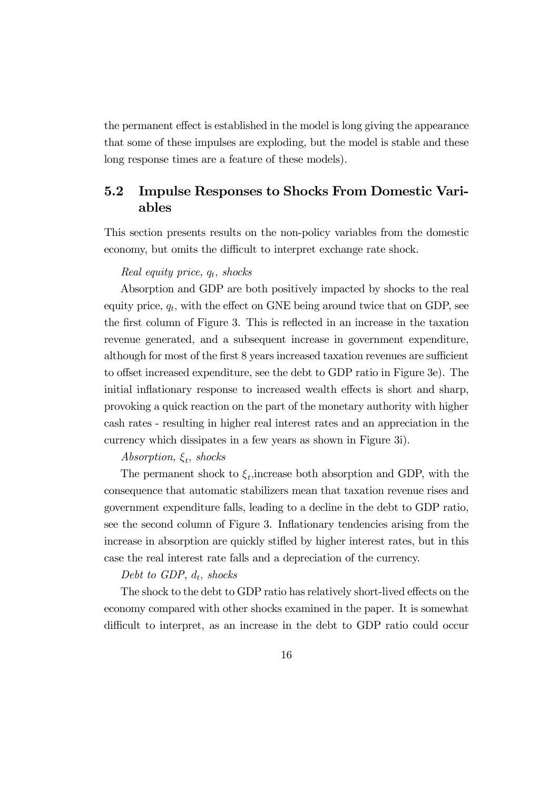the permanent effect is established in the model is long giving the appearance that some of these impulses are exploding, but the model is stable and these long response times are a feature of these models).

### 5.2 Impulse Responses to Shocks From Domestic Variables

This section presents results on the non-policy variables from the domestic economy, but omits the difficult to interpret exchange rate shock.

#### Real equity price,  $q_t$ , shocks

Absorption and GDP are both positively impacted by shocks to the real equity price,  $q_t$ , with the effect on GNE being around twice that on GDP, see the first column of Figure 3. This is reflected in an increase in the taxation revenue generated, and a subsequent increase in government expenditure, although for most of the first 8 years increased taxation revenues are sufficient to offset increased expenditure, see the debt to GDP ratio in Figure 3e). The initial inflationary response to increased wealth effects is short and sharp, provoking a quick reaction on the part of the monetary authority with higher cash rates - resulting in higher real interest rates and an appreciation in the currency which dissipates in a few years as shown in Figure 3i).

#### Absorption,  $\xi_t$ , shocks

The permanent shock to  $\xi_t$ , increase both absorption and GDP, with the consequence that automatic stabilizers mean that taxation revenue rises and government expenditure falls, leading to a decline in the debt to GDP ratio, see the second column of Figure 3. Inflationary tendencies arising from the increase in absorption are quickly stifled by higher interest rates, but in this case the real interest rate falls and a depreciation of the currency.

#### Debt to GDP,  $d_t$ , shocks

The shock to the debt to GDP ratio has relatively short-lived effects on the economy compared with other shocks examined in the paper. It is somewhat difficult to interpret, as an increase in the debt to GDP ratio could occur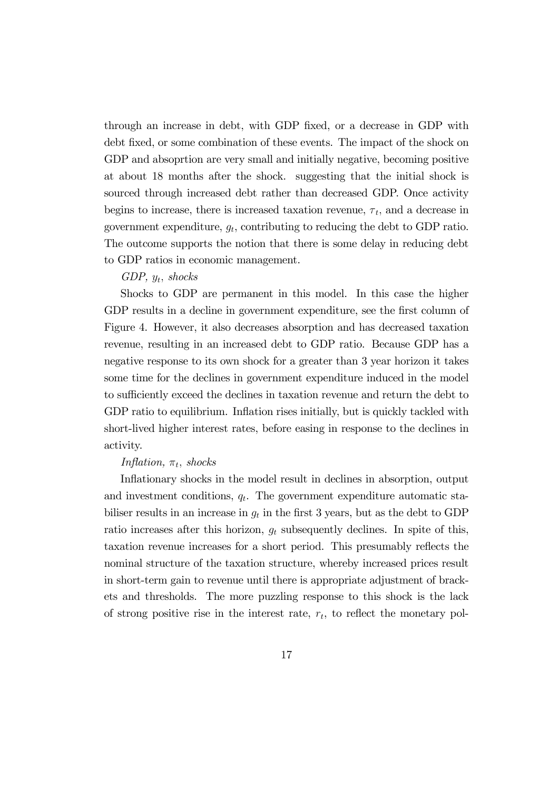through an increase in debt, with GDP fixed, or a decrease in GDP with debt fixed, or some combination of these events. The impact of the shock on GDP and absoprtion are very small and initially negative, becoming positive at about 18 months after the shock. suggesting that the initial shock is sourced through increased debt rather than decreased GDP. Once activity begins to increase, there is increased taxation revenue,  $\tau_t$ , and a decrease in government expenditure,  $g_t$ , contributing to reducing the debt to GDP ratio. The outcome supports the notion that there is some delay in reducing debt to GDP ratios in economic management.

#### GDP,  $y_t$ , shocks

Shocks to GDP are permanent in this model. In this case the higher GDP results in a decline in government expenditure, see the first column of Figure 4. However, it also decreases absorption and has decreased taxation revenue, resulting in an increased debt to GDP ratio. Because GDP has a negative response to its own shock for a greater than 3 year horizon it takes some time for the declines in government expenditure induced in the model to sufficiently exceed the declines in taxation revenue and return the debt to GDP ratio to equilibrium. Inflation rises initially, but is quickly tackled with short-lived higher interest rates, before easing in response to the declines in activity.

#### Inflation,  $\pi_t$ , shocks

Inflationary shocks in the model result in declines in absorption, output and investment conditions,  $q_t$ . The government expenditure automatic stabiliser results in an increase in  $g_t$  in the first 3 years, but as the debt to GDP ratio increases after this horizon,  $g_t$  subsequently declines. In spite of this, taxation revenue increases for a short period. This presumably reflects the nominal structure of the taxation structure, whereby increased prices result in short-term gain to revenue until there is appropriate adjustment of brackets and thresholds. The more puzzling response to this shock is the lack of strong positive rise in the interest rate,  $r_t$ , to reflect the monetary pol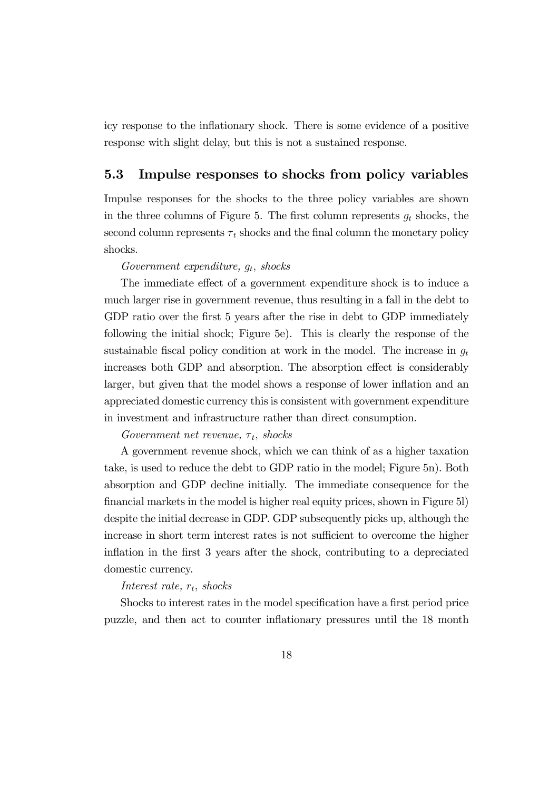icy response to the inflationary shock. There is some evidence of a positive response with slight delay, but this is not a sustained response.

### 5.3 Impulse responses to shocks from policy variables

Impulse responses for the shocks to the three policy variables are shown in the three columns of Figure 5. The first column represents  $g_t$  shocks, the second column represents  $\tau_t$  shocks and the final column the monetary policy shocks.

#### Government expenditure,  $g_t$ , shocks

The immediate effect of a government expenditure shock is to induce a much larger rise in government revenue, thus resulting in a fall in the debt to GDP ratio over the first 5 years after the rise in debt to GDP immediately following the initial shock; Figure 5e). This is clearly the response of the sustainable fiscal policy condition at work in the model. The increase in  $q_t$ increases both GDP and absorption. The absorption effect is considerably larger, but given that the model shows a response of lower inflation and an appreciated domestic currency this is consistent with government expenditure in investment and infrastructure rather than direct consumption.

Government net revenue,  $\tau_t$ , shocks

A government revenue shock, which we can think of as a higher taxation take, is used to reduce the debt to GDP ratio in the model; Figure 5n). Both absorption and GDP decline initially. The immediate consequence for the financial markets in the model is higher real equity prices, shown in Figure 5l) despite the initial decrease in GDP. GDP subsequently picks up, although the increase in short term interest rates is not sufficient to overcome the higher inflation in the first 3 years after the shock, contributing to a depreciated domestic currency.

#### Interest rate,  $r_t$ , shocks

Shocks to interest rates in the model specification have a first period price puzzle, and then act to counter inflationary pressures until the 18 month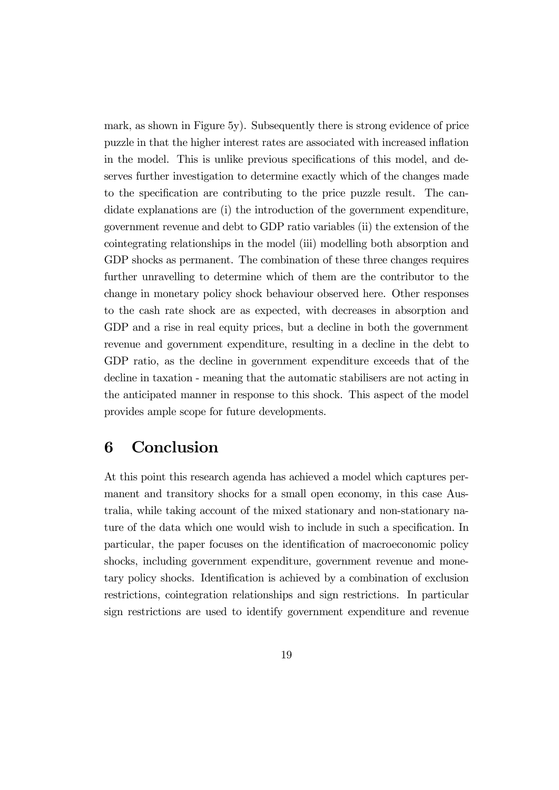mark, as shown in Figure 5y). Subsequently there is strong evidence of price puzzle in that the higher interest rates are associated with increased inflation in the model. This is unlike previous specifications of this model, and deserves further investigation to determine exactly which of the changes made to the specification are contributing to the price puzzle result. The candidate explanations are (i) the introduction of the government expenditure, government revenue and debt to GDP ratio variables (ii) the extension of the cointegrating relationships in the model (iii) modelling both absorption and GDP shocks as permanent. The combination of these three changes requires further unravelling to determine which of them are the contributor to the change in monetary policy shock behaviour observed here. Other responses to the cash rate shock are as expected, with decreases in absorption and GDP and a rise in real equity prices, but a decline in both the government revenue and government expenditure, resulting in a decline in the debt to GDP ratio, as the decline in government expenditure exceeds that of the decline in taxation - meaning that the automatic stabilisers are not acting in the anticipated manner in response to this shock. This aspect of the model provides ample scope for future developments.

# 6 Conclusion

At this point this research agenda has achieved a model which captures permanent and transitory shocks for a small open economy, in this case Australia, while taking account of the mixed stationary and non-stationary nature of the data which one would wish to include in such a specification. In particular, the paper focuses on the identification of macroeconomic policy shocks, including government expenditure, government revenue and monetary policy shocks. Identification is achieved by a combination of exclusion restrictions, cointegration relationships and sign restrictions. In particular sign restrictions are used to identify government expenditure and revenue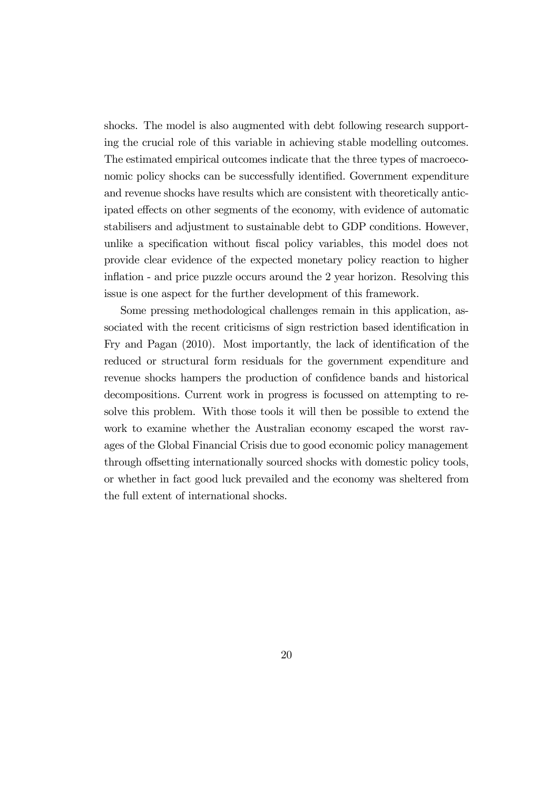shocks. The model is also augmented with debt following research supporting the crucial role of this variable in achieving stable modelling outcomes. The estimated empirical outcomes indicate that the three types of macroeconomic policy shocks can be successfully identified. Government expenditure and revenue shocks have results which are consistent with theoretically anticipated effects on other segments of the economy, with evidence of automatic stabilisers and adjustment to sustainable debt to GDP conditions. However, unlike a specification without fiscal policy variables, this model does not provide clear evidence of the expected monetary policy reaction to higher inflation - and price puzzle occurs around the 2 year horizon. Resolving this issue is one aspect for the further development of this framework.

Some pressing methodological challenges remain in this application, associated with the recent criticisms of sign restriction based identification in Fry and Pagan (2010). Most importantly, the lack of identification of the reduced or structural form residuals for the government expenditure and revenue shocks hampers the production of confidence bands and historical decompositions. Current work in progress is focussed on attempting to resolve this problem. With those tools it will then be possible to extend the work to examine whether the Australian economy escaped the worst ravages of the Global Financial Crisis due to good economic policy management through offsetting internationally sourced shocks with domestic policy tools, or whether in fact good luck prevailed and the economy was sheltered from the full extent of international shocks.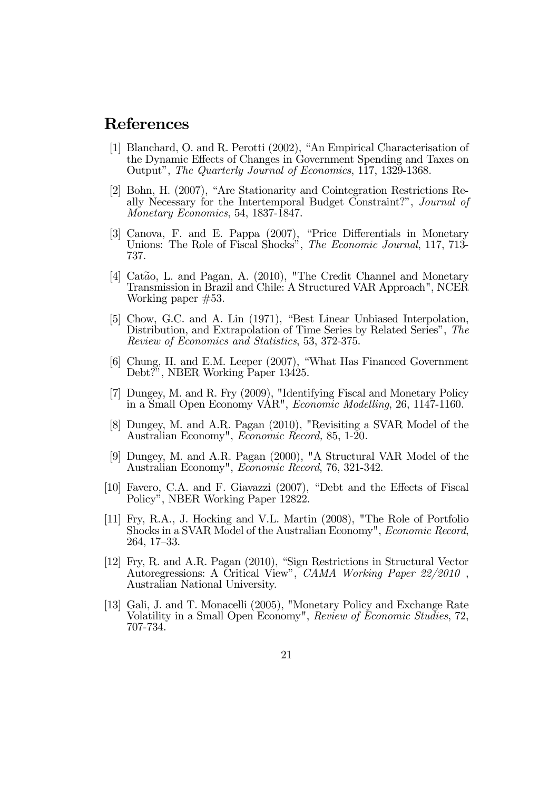# References

- [1] Blanchard, O. and R. Perotti (2002), "An Empirical Characterisation of the Dynamic Effects of Changes in Government Spending and Taxes on Output", The Quarterly Journal of Economics, 117, 1329-1368.
- [2] Bohn, H. (2007), "Are Stationarity and Cointegration Restrictions Really Necessary for the Intertemporal Budget Constraint?", Journal of Monetary Economics, 54, 1837-1847.
- [3] Canova, F. and E. Pappa (2007), "Price Differentials in Monetary Unions: The Role of Fiscal Shocks", *The Economic Journal*, 117, 713-737.
- [4] Cat $\tilde{a}$ o, L. and Pagan, A. (2010), "The Credit Channel and Monetary Transmission in Brazil and Chile: A Structured VAR Approach", NCER Working paper #53.
- [5] Chow, G.C. and A. Lin (1971), "Best Linear Unbiased Interpolation, Distribution, and Extrapolation of Time Series by Related Series", The Review of Economics and Statistics, 53, 372-375.
- [6] Chung, H. and E.M. Leeper (2007), "What Has Financed Government Debt?", NBER Working Paper 13425.
- [7] Dungey, M. and R. Fry (2009), "Identifying Fiscal and Monetary Policy in a Small Open Economy VAR", Economic Modelling, 26, 1147-1160.
- [8] Dungey, M. and A.R. Pagan (2010), "Revisiting a SVAR Model of the Australian Economy", Economic Record, 85, 1-20.
- [9] Dungey, M. and A.R. Pagan (2000), "A Structural VAR Model of the Australian Economy", Economic Record, 76, 321-342.
- [10] Favero, C.A. and F. Giavazzi (2007), "Debt and the Effects of Fiscal Policy", NBER Working Paper 12822.
- [11] Fry, R.A., J. Hocking and V.L. Martin (2008), "The Role of Portfolio Shocks in a SVAR Model of the Australian Economy", Economic Record, 264, 17—33.
- [12] Fry, R. and A.R. Pagan (2010), "Sign Restrictions in Structural Vector Autoregressions: A Critical View", CAMA Working Paper 22/2010, Australian National University.
- [13] Gali, J. and T. Monacelli (2005), "Monetary Policy and Exchange Rate Volatility in a Small Open Economy", Review of Economic Studies, 72, 707-734.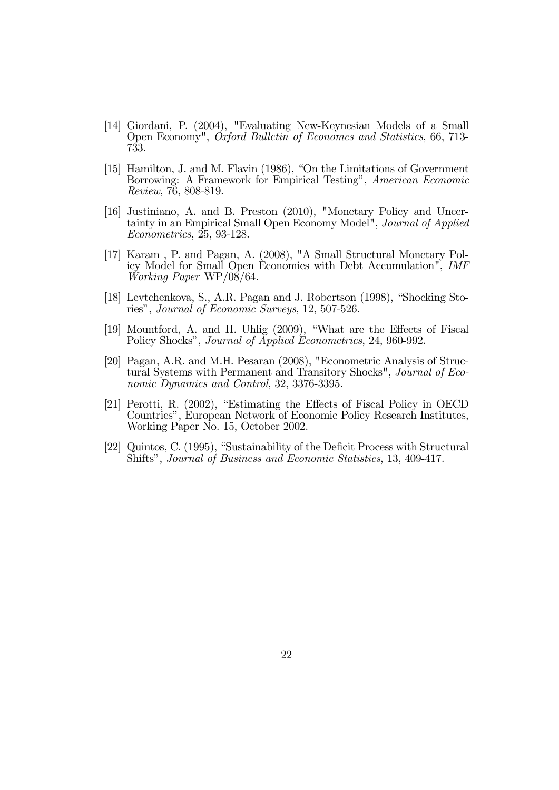- [14] Giordani, P. (2004), "Evaluating New-Keynesian Models of a Small Open Economy", Oxford Bulletin of Economcs and Statistics, 66, 713- 733.
- [15] Hamilton, J. and M. Flavin (1986), "On the Limitations of Government Borrowing: A Framework for Empirical Testing", American Economic Review, 76, 808-819.
- [16] Justiniano, A. and B. Preston (2010), "Monetary Policy and Uncertainty in an Empirical Small Open Economy Model", Journal of Applied Econometrics, 25, 93-128.
- [17] Karam , P. and Pagan, A. (2008), "A Small Structural Monetary Policy Model for Small Open Economies with Debt Accumulation", IMF Working Paper WP/08/64.
- [18] Levtchenkova, S., A.R. Pagan and J. Robertson (1998), "Shocking Stories", Journal of Economic Surveys, 12, 507-526.
- [19] Mountford, A. and H. Uhlig (2009), "What are the Effects of Fiscal Policy Shocks", *Journal of Applied Econometrics*, 24, 960-992.
- [20] Pagan, A.R. and M.H. Pesaran (2008), "Econometric Analysis of Structural Systems with Permanent and Transitory Shocks", Journal of Economic Dynamics and Control, 32, 3376-3395.
- [21] Perotti, R. (2002), "Estimating the Effects of Fiscal Policy in OECD Countries", European Network of Economic Policy Research Institutes, Working Paper No. 15, October 2002.
- [22] Quintos, C. (1995), "Sustainability of the Deficit Process with Structural Shifts", Journal of Business and Economic Statistics, 13, 409-417.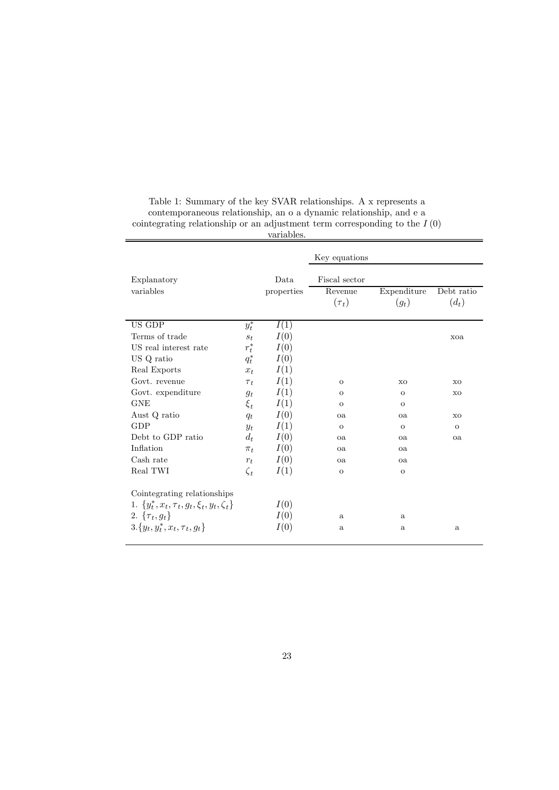|                                                       |           | variables. |                |                |            |
|-------------------------------------------------------|-----------|------------|----------------|----------------|------------|
|                                                       |           |            | Key equations  |                |            |
| Explanatory                                           |           | Data       | Fiscal sector  |                |            |
| variables                                             |           | properties | Revenue        | Expenditure    | Debt ratio |
|                                                       |           |            | $(\tau_t)$     | $(g_t)$        | $(d_t)$    |
| US GDP                                                | $y_t^*$   | I(1)       |                |                |            |
| Terms of trade                                        | $s_t$     | I(0)       |                |                | xoa        |
| US real interest rate                                 | $r_t^*$   | I(0)       |                |                |            |
| US Q ratio                                            | $q_t^*$   | I(0)       |                |                |            |
| Real Exports                                          | $x_t$     | I(1)       |                |                |            |
| Govt. revenue                                         | $\tau_t$  | I(1)       | $\mathcal{O}$  | X <sub>O</sub> | XO         |
| Govt. expenditure                                     | $q_t$     | I(1)       | $\sigma$       | $\overline{O}$ | XO         |
| <b>GNE</b>                                            | $\xi_t$   | I(1)       | $\overline{O}$ | $\overline{O}$ |            |
| Aust Q ratio                                          | $q_t$     | I(0)       | oa             | oa             | XO         |
| GDP                                                   | $y_t$     | I(1)       | $\circ$        | $\mathbf{O}$   | $\circ$    |
| Debt to GDP ratio                                     | $d_t$     | I(0)       | oa             | oa             | oa         |
| Inflation                                             | $\pi_t$   | I(0)       | oa             | oa             |            |
| Cash rate                                             | $r_t$     | I(0)       | oa             | oa             |            |
| Real TWI                                              | $\zeta_t$ | I(1)       | $\mathbf O$    | $\mathbf O$    |            |
| Cointegrating relationships                           |           |            |                |                |            |
| 1. $\{y_t^*, x_t, \tau_t, g_t, \xi_t, y_t, \zeta_t\}$ |           | I(0)       |                |                |            |
| 2. $\{\tau_t, g_t\}$                                  |           | I(0)       | $\rm{a}$       | $\rm{a}$       |            |
| $3.\{y_t, y_t^*, x_t, \tau_t, g_t\}$                  |           | I(0)       | $\mathbf{a}$   | $\mathbf{a}$   | $\rm{a}$   |
|                                                       |           |            |                |                |            |

Table 1: Summary of the key SVAR relationships. A x represents a contemporaneous relationship, an o a dynamic relationship, and e a cointegrating relationship or an adjustment term corresponding to the  $I(0)$ 

#### 23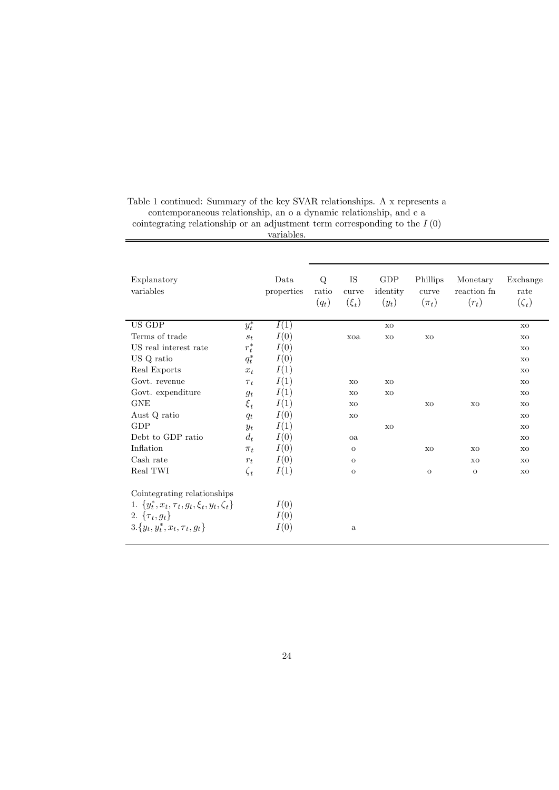| Explanatory<br>variables                              |            | Data<br>properties | Q<br>ratio<br>$(q_t)$ | IS<br>curve<br>$(\xi_t)$ | GDP<br>identity<br>$(y_t)$ | Phillips<br>curve<br>$(\pi_t)$ | Monetary<br>reaction fn<br>$(r_t)$ | Exchange<br>rate<br>$(\zeta_t)$ |
|-------------------------------------------------------|------------|--------------------|-----------------------|--------------------------|----------------------------|--------------------------------|------------------------------------|---------------------------------|
| US GDP                                                | $y_t^\ast$ | I(1)               |                       |                          | X <sub>O</sub>             |                                |                                    | X <sub>O</sub>                  |
| Terms of trade                                        | $S_t$      | I(0)               |                       | xoa                      | X <sub>O</sub>             | <b>XO</b>                      |                                    | XO                              |
| US real interest rate                                 | $r_t^*$    | I(0)               |                       |                          |                            |                                |                                    | <b>XO</b>                       |
| US Q ratio                                            | $q_t^*$    | I(0)               |                       |                          |                            |                                |                                    | XO                              |
| Real Exports                                          | $x_t$      | I(1)               |                       |                          |                            |                                |                                    | X <sub>O</sub>                  |
| Govt. revenue                                         | $\tau_t$   | I(1)               |                       | <b>XO</b>                | X <sub>O</sub>             |                                |                                    | XO                              |
| Govt. expenditure                                     | $g_t$      | I(1)               |                       | XO                       | X <sub>O</sub>             |                                |                                    | X <sub>O</sub>                  |
| <b>GNE</b>                                            | $\xi_t$    | I(1)               |                       | <b>XO</b>                |                            | XO                             | XO                                 | <b>XO</b>                       |
| Aust Q ratio                                          | $q_t$      | I(0)               |                       | XO                       |                            |                                |                                    | XO                              |
| <b>GDP</b>                                            | $y_t$      | I(1)               |                       |                          | X <sub>O</sub>             |                                |                                    | X <sub>O</sub>                  |
| Debt to GDP ratio                                     | $d_t$      | I(0)               |                       | oa                       |                            |                                |                                    | <b>XO</b>                       |
| Inflation                                             | $\pi_t$    | I(0)               |                       | $\mathbf{O}$             |                            | X <sub>O</sub>                 | X <sub>O</sub>                     | XO                              |
| Cash rate                                             | $r_t$      | I(0)               |                       | $\mathbf{O}$             |                            |                                | X <sub>O</sub>                     | <b>XO</b>                       |
| Real TWI                                              | $\zeta_t$  | I(1)               |                       | $\mathbf O$              |                            | $\overline{O}$                 | $\overline{O}$                     | XO                              |
| Cointegrating relationships                           |            |                    |                       |                          |                            |                                |                                    |                                 |
| 1. $\{y_t^*, x_t, \tau_t, g_t, \xi_t, y_t, \zeta_t\}$ |            | I(0)               |                       |                          |                            |                                |                                    |                                 |
| 2. $\{\tau_t, g_t\}$                                  |            | I(0)               |                       |                          |                            |                                |                                    |                                 |
| $3.\{y_t, y_t^*, x_t, \tau_t, g_t\}$                  |            | I(0)               |                       | $\rm{a}$                 |                            |                                |                                    |                                 |

Table 1 continued: Summary of the key SVAR relationships. A x represents a contemporaneous relationship, an o a dynamic relationship, and e a

cointegrating relationship or an adjustment term corresponding to the  $I(0)$ 

#### variables.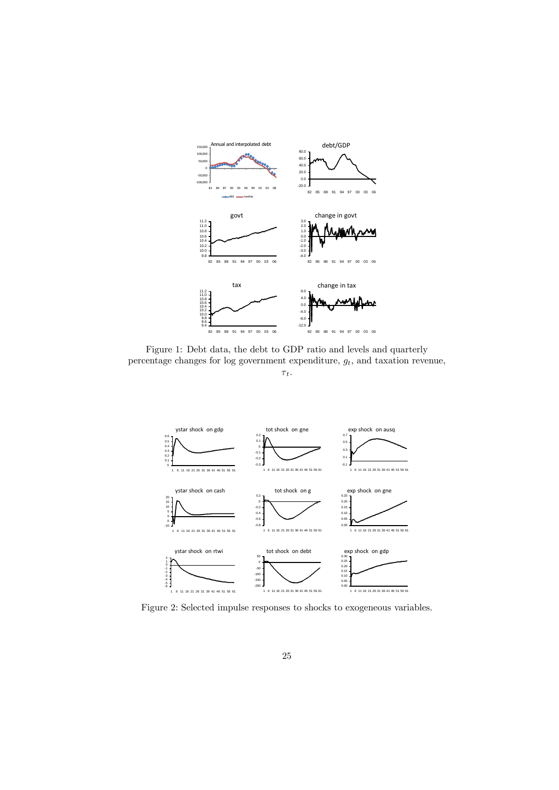

Figure 1: Debt data, the debt to GDP ratio and levels and quarterly percentage changes for log government expenditure,  $g_t$ , and taxation revenue,  $\tau_{t}.$ 





Figure 2: Selected impulse responses to shocks to exogeneous variables.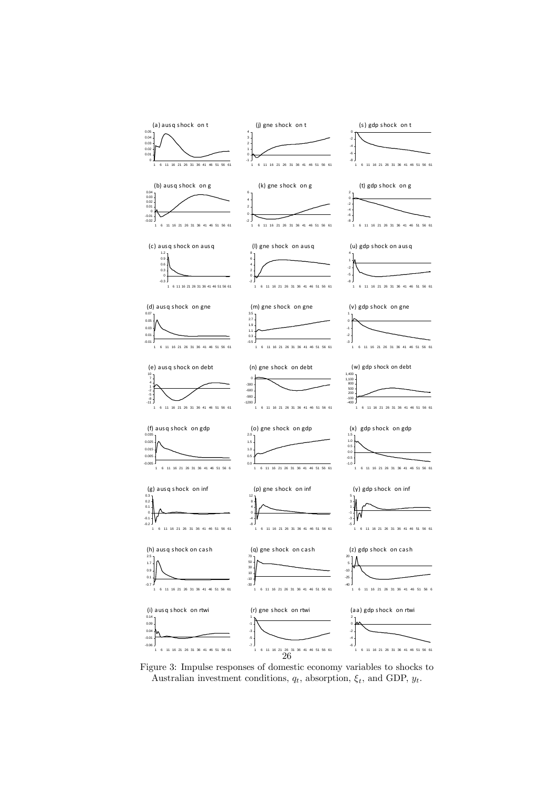

Figure 3: Impulse responses of domestic economy variables to shocks to Australian investment conditions,  $q_t$ , absorption,  $\xi_t$ , and GDP,  $y_t$ .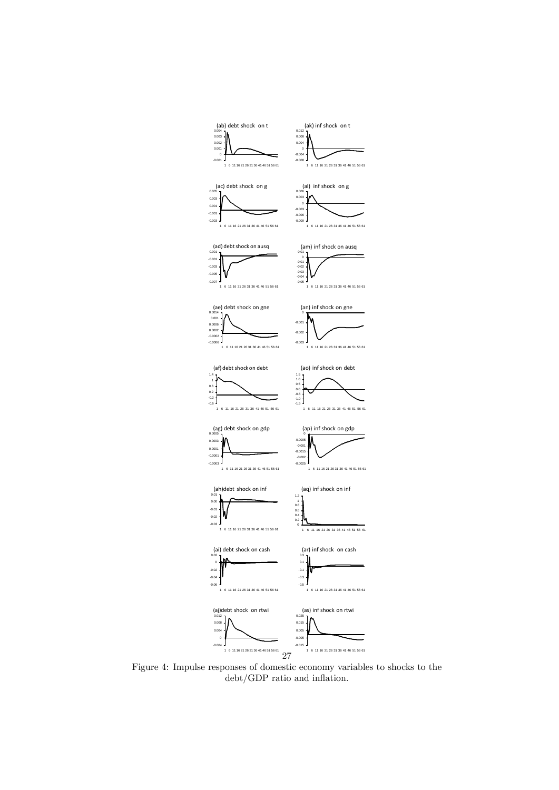

Figure 4: Impulse responses of domestic economy variables to shocks to the debt/GDP ratio and inflation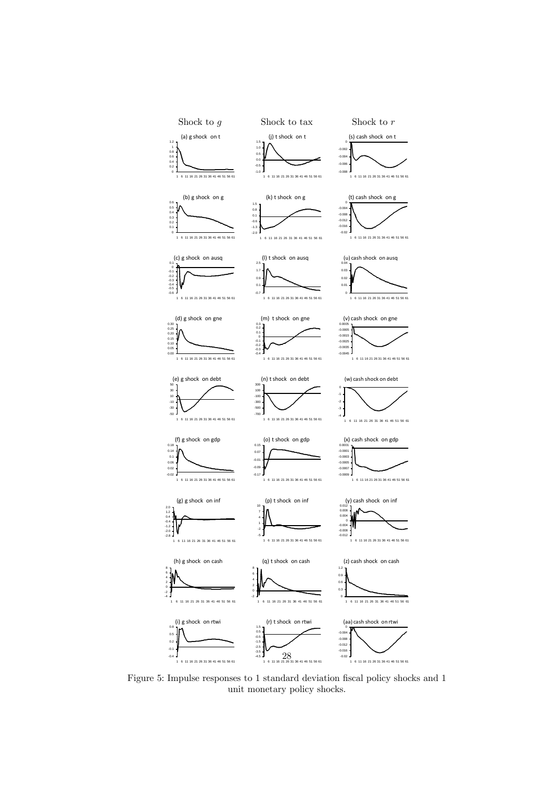

Figure 5: Impulse responses to 1 standard deviation fiscal policy shocks and 1 unit monetary policy shocks.